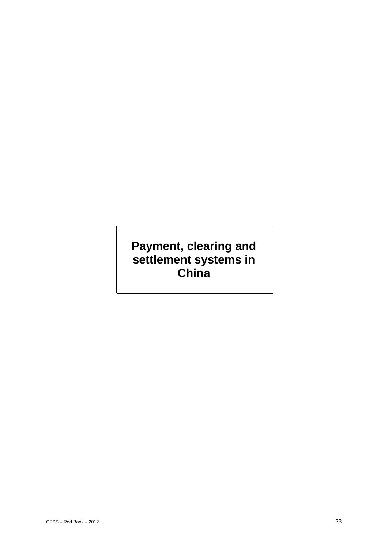# **Payment, clearing and settlement systems in China**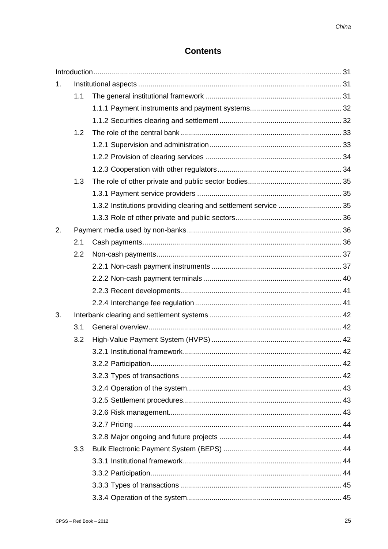## **Contents**

| 1. |     |                                                                  |  |  |  |  |  |
|----|-----|------------------------------------------------------------------|--|--|--|--|--|
|    | 1.1 |                                                                  |  |  |  |  |  |
|    |     |                                                                  |  |  |  |  |  |
|    |     |                                                                  |  |  |  |  |  |
|    | 1.2 |                                                                  |  |  |  |  |  |
|    |     |                                                                  |  |  |  |  |  |
|    |     |                                                                  |  |  |  |  |  |
|    |     |                                                                  |  |  |  |  |  |
|    | 1.3 |                                                                  |  |  |  |  |  |
|    |     |                                                                  |  |  |  |  |  |
|    |     | 1.3.2 Institutions providing clearing and settlement service  35 |  |  |  |  |  |
|    |     |                                                                  |  |  |  |  |  |
| 2. |     |                                                                  |  |  |  |  |  |
|    | 2.1 |                                                                  |  |  |  |  |  |
|    | 2.2 |                                                                  |  |  |  |  |  |
|    |     |                                                                  |  |  |  |  |  |
|    |     |                                                                  |  |  |  |  |  |
|    |     |                                                                  |  |  |  |  |  |
|    |     |                                                                  |  |  |  |  |  |
| 3. |     |                                                                  |  |  |  |  |  |
|    | 3.1 |                                                                  |  |  |  |  |  |
|    | 3.2 |                                                                  |  |  |  |  |  |
|    |     |                                                                  |  |  |  |  |  |
|    |     |                                                                  |  |  |  |  |  |
|    |     |                                                                  |  |  |  |  |  |
|    |     |                                                                  |  |  |  |  |  |
|    |     |                                                                  |  |  |  |  |  |
|    |     |                                                                  |  |  |  |  |  |
|    |     |                                                                  |  |  |  |  |  |
|    |     |                                                                  |  |  |  |  |  |
|    | 3.3 |                                                                  |  |  |  |  |  |
|    |     |                                                                  |  |  |  |  |  |
|    |     |                                                                  |  |  |  |  |  |
|    |     |                                                                  |  |  |  |  |  |
|    |     |                                                                  |  |  |  |  |  |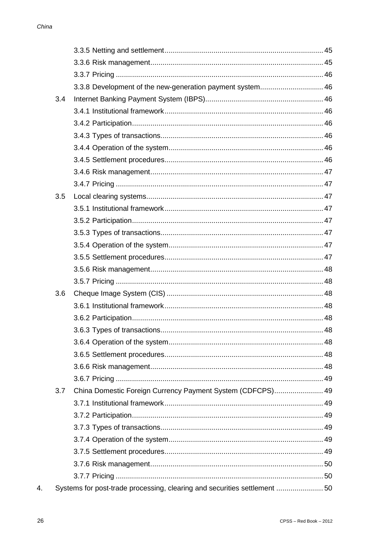|     | 3.3.8 Development of the new-generation payment system 46                |  |
|-----|--------------------------------------------------------------------------|--|
| 3.4 |                                                                          |  |
|     |                                                                          |  |
|     |                                                                          |  |
|     |                                                                          |  |
|     |                                                                          |  |
|     |                                                                          |  |
|     |                                                                          |  |
|     |                                                                          |  |
| 3.5 |                                                                          |  |
|     |                                                                          |  |
|     |                                                                          |  |
|     |                                                                          |  |
|     |                                                                          |  |
|     |                                                                          |  |
|     |                                                                          |  |
|     |                                                                          |  |
| 3.6 |                                                                          |  |
|     |                                                                          |  |
|     |                                                                          |  |
|     |                                                                          |  |
|     |                                                                          |  |
|     |                                                                          |  |
|     |                                                                          |  |
|     |                                                                          |  |
| 3.7 | China Domestic Foreign Currency Payment System (CDFCPS) 49               |  |
|     |                                                                          |  |
|     |                                                                          |  |
|     |                                                                          |  |
|     |                                                                          |  |
|     |                                                                          |  |
|     |                                                                          |  |
|     |                                                                          |  |
|     | Systems for post-trade processing, clearing and securities settlement 50 |  |

 $\overline{4}$ .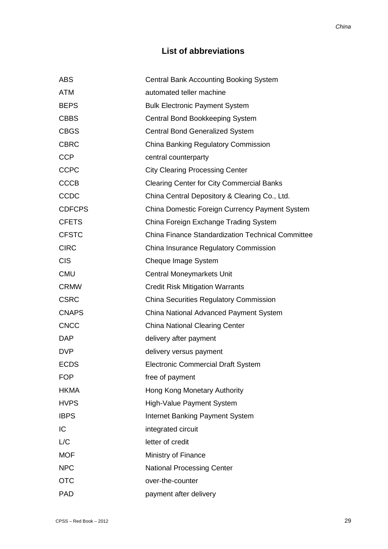## **List of abbreviations**

| <b>ABS</b>    | <b>Central Bank Accounting Booking System</b>            |
|---------------|----------------------------------------------------------|
| <b>ATM</b>    | automated teller machine                                 |
| <b>BEPS</b>   | <b>Bulk Electronic Payment System</b>                    |
| <b>CBBS</b>   | Central Bond Bookkeeping System                          |
| <b>CBGS</b>   | <b>Central Bond Generalized System</b>                   |
| <b>CBRC</b>   | China Banking Regulatory Commission                      |
| <b>CCP</b>    | central counterparty                                     |
| <b>CCPC</b>   | <b>City Clearing Processing Center</b>                   |
| <b>CCCB</b>   | <b>Clearing Center for City Commercial Banks</b>         |
| CCDC          | China Central Depository & Clearing Co., Ltd.            |
| <b>CDFCPS</b> | China Domestic Foreign Currency Payment System           |
| <b>CFETS</b>  | China Foreign Exchange Trading System                    |
| <b>CFSTC</b>  | <b>China Finance Standardization Technical Committee</b> |
| <b>CIRC</b>   | China Insurance Regulatory Commission                    |
| <b>CIS</b>    | Cheque Image System                                      |
| <b>CMU</b>    | <b>Central Moneymarkets Unit</b>                         |
| <b>CRMW</b>   | <b>Credit Risk Mitigation Warrants</b>                   |
| <b>CSRC</b>   | <b>China Securities Regulatory Commission</b>            |
| <b>CNAPS</b>  | China National Advanced Payment System                   |
| <b>CNCC</b>   | <b>China National Clearing Center</b>                    |
| <b>DAP</b>    | delivery after payment                                   |
| <b>DVP</b>    | delivery versus payment                                  |
| <b>ECDS</b>   | <b>Electronic Commercial Draft System</b>                |
| <b>FOP</b>    | free of payment                                          |
| <b>HKMA</b>   | Hong Kong Monetary Authority                             |
| <b>HVPS</b>   | High-Value Payment System                                |
| <b>IBPS</b>   | <b>Internet Banking Payment System</b>                   |
| IC            | integrated circuit                                       |
| L/C           | letter of credit                                         |
| <b>MOF</b>    | Ministry of Finance                                      |
| <b>NPC</b>    | <b>National Processing Center</b>                        |
| <b>OTC</b>    | over-the-counter                                         |
| <b>PAD</b>    | payment after delivery                                   |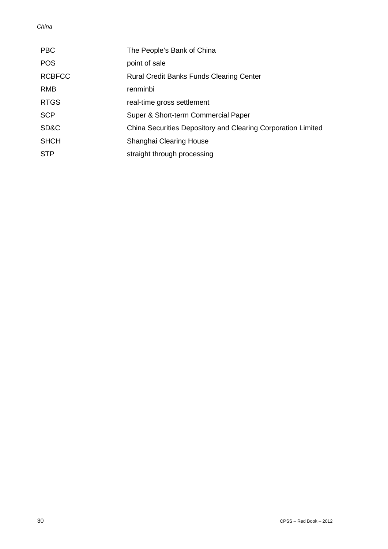#### *China*

| <b>PBC</b>    | The People's Bank of China                                   |
|---------------|--------------------------------------------------------------|
| <b>POS</b>    | point of sale                                                |
| <b>RCBFCC</b> | <b>Rural Credit Banks Funds Clearing Center</b>              |
| <b>RMB</b>    | renminbi                                                     |
| <b>RTGS</b>   | real-time gross settlement                                   |
| <b>SCP</b>    | Super & Short-term Commercial Paper                          |
| SD&C          | China Securities Depository and Clearing Corporation Limited |
| <b>SHCH</b>   | Shanghai Clearing House                                      |
| <b>STP</b>    | straight through processing                                  |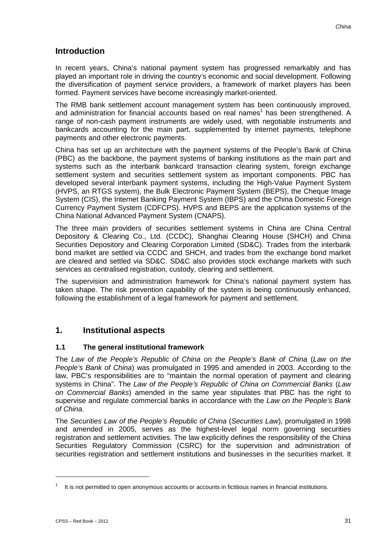## **Introduction**

In recent years, China's national payment system has progressed remarkably and has played an important role in driving the country's economic and social development. Following the diversification of payment service providers, a framework of market players has been formed. Payment services have become increasingly market-oriented.

The RMB bank settlement account management system has been continuously improved, and administration for financial accounts based on real names<sup>1</sup> has been strengthened. A range of non-cash payment instruments are widely used, with negotiable instruments and bankcards accounting for the main part, supplemented by internet payments, telephone payments and other electronic payments.

China has set up an architecture with the payment systems of the People's Bank of China (PBC) as the backbone, the payment systems of banking institutions as the main part and systems such as the interbank bankcard transaction clearing system, foreign exchange settlement system and securities settlement system as important components. PBC has developed several interbank payment systems, including the High-Value Payment System (HVPS, an RTGS system), the Bulk Electronic Payment System (BEPS), the Cheque Image System (CIS), the Internet Banking Payment System (IBPS) and the China Domestic Foreign Currency Payment System (CDFCPS). HVPS and BEPS are the application systems of the China National Advanced Payment System (CNAPS).

The three main providers of securities settlement systems in China are China Central Depository & Clearing Co., Ltd. (CCDC), Shanghai Clearing House (SHCH) and China Securities Depository and Clearing Corporation Limited (SD&C). Trades from the interbank bond market are settled via CCDC and SHCH, and trades from the exchange bond market are cleared and settled via SD&C. SD&C also provides stock exchange markets with such services as centralised registration, custody, clearing and settlement.

The supervision and administration framework for China's national payment system has taken shape. The risk prevention capability of the system is being continuously enhanced, following the establishment of a legal framework for payment and settlement.

## **1. Institutional aspects**

## **1.1 The general institutional framework**

The *Law of the People's Republic of China on the People's Bank of China* (*Law on the People's Bank of China*) was promulgated in 1995 and amended in 2003. According to the law, PBC's responsibilities are to "maintain the normal operation of payment and clearing systems in China". The *Law of the People's Republic of China on Commercial Banks* (*Law on Commercial Banks*) amended in the same year stipulates that PBC has the right to supervise and regulate commercial banks in accordance with the *Law on the People's Bank of China*.

The *Securities Law of the People's Republic of China* (*Securities Law*), promulgated in 1998 and amended in 2005, serves as the highest-level legal norm governing securities registration and settlement activities. The law explicitly defines the responsibility of the China Securities Regulatory Commission (CSRC) for the supervision and administration of securities registration and settlement institutions and businesses in the securities market. It

 $1$  It is not permitted to open anonymous accounts or accounts in fictitious names in financial institutions.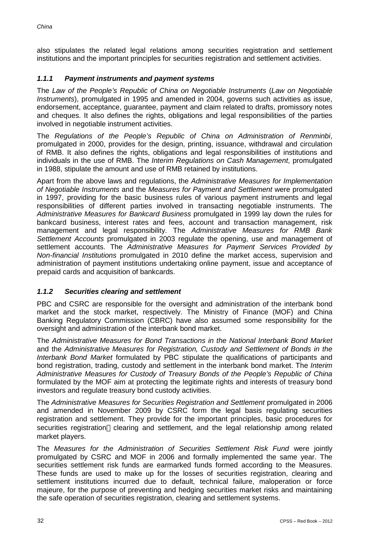also stipulates the related legal relations among securities registration and settlement institutions and the important principles for securities registration and settlement activities.

## *1.1.1 Payment instruments and payment systems*

The *Law of the People's Republic of China on Negotiable Instruments* (*Law on Negotiable Instruments*), promulgated in 1995 and amended in 2004, governs such activities as issue, endorsement, acceptance, guarantee, payment and claim related to drafts, promissory notes and cheques. It also defines the rights, obligations and legal responsibilities of the parties involved in negotiable instrument activities.

The *Regulations of the People's Republic of China on Administration of Renminbi*, promulgated in 2000, provides for the design, printing, issuance, withdrawal and circulation of RMB. It also defines the rights, obligations and legal responsibilities of institutions and individuals in the use of RMB. The *Interim Regulations on Cash Management*, promulgated in 1988, stipulate the amount and use of RMB retained by institutions.

Apart from the above laws and regulations, the *Administrative Measures for Implementation of Negotiable Instruments* and the *Measures for Payment and Settlement* were promulgated in 1997, providing for the basic business rules of various payment instruments and legal responsibilities of different parties involved in transacting negotiable instruments. The *Administrative Measures for Bankcard Business* promulgated in 1999 lay down the rules for bankcard business, interest rates and fees, account and transaction management, risk management and legal responsibility. The *Administrative Measures for RMB Bank Settlement Accounts* promulgated in 2003 regulate the opening, use and management of settlement accounts. The *Administrative Measures for Payment Services Provided by Non-financial Institutions* promulgated in 2010 define the market access, supervision and administration of payment institutions undertaking online payment, issue and acceptance of prepaid cards and acquisition of bankcards.

## *1.1.2 Securities clearing and settlement*

PBC and CSRC are responsible for the oversight and administration of the interbank bond market and the stock market, respectively. The Ministry of Finance (MOF) and China Banking Regulatory Commission (CBRC) have also assumed some responsibility for the oversight and administration of the interbank bond market.

The *Administrative Measures for Bond Transactions in the National Interbank Bond Market* and the *Administrative Measures for Registration, Custody and Settlement of Bonds in the Interbank Bond Market* formulated by PBC stipulate the qualifications of participants and bond registration, trading, custody and settlement in the interbank bond market. The *Interim Administrative Measures for Custody of Treasury Bonds of the People's Republic of China* formulated by the MOF aim at protecting the legitimate rights and interests of treasury bond investors and regulate treasury bond custody activities.

The *Administrative Measures for Securities Registration and Settlement* promulgated in 2006 and amended in November 2009 by CSRC form the legal basis regulating securities registration and settlement. They provide for the important principles, basic procedures for securities registration clearing and settlement, and the legal relationship among related market players.

The *Measures for the Administration of Securities Settlement Risk Fund* were jointly promulgated by CSRC and MOF in 2006 and formally implemented the same year. The securities settlement risk funds are earmarked funds formed according to the Measures. These funds are used to make up for the losses of securities registration, clearing and settlement institutions incurred due to default, technical failure, maloperation or force majeure, for the purpose of preventing and hedging securities market risks and maintaining the safe operation of securities registration, clearing and settlement systems.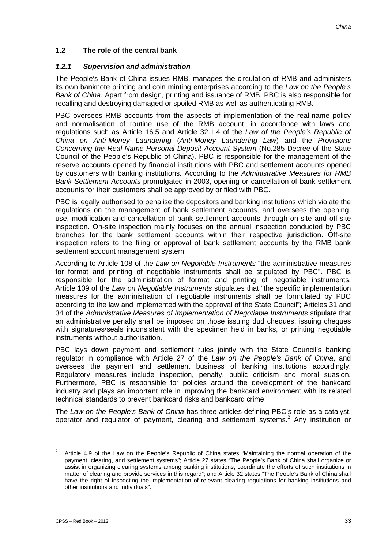## **1.2 The role of the central bank**

#### *1.2.1 Supervision and administration*

The People's Bank of China issues RMB, manages the circulation of RMB and administers its own banknote printing and coin minting enterprises according to the *Law on the People's Bank of China*. Apart from design, printing and issuance of RMB, PBC is also responsible for recalling and destroying damaged or spoiled RMB as well as authenticating RMB.

PBC oversees RMB accounts from the aspects of implementation of the real-name policy and normalisation of routine use of the RMB account, in accordance with laws and regulations such as Article 16.5 and Article 32.1.4 of the *Law of the People's Republic of China on Anti-Money Laundering* (*Anti-Money Laundering Law*) and the *Provisions Concerning the Real-Name Personal Deposit Account System* (No.285 Decree of the State Council of the People's Republic of China). PBC is responsible for the management of the reserve accounts opened by financial institutions with PBC and settlement accounts opened by customers with banking institutions. According to the *Administrative Measures for RMB Bank Settlement Accounts* promulgated in 2003, opening or cancellation of bank settlement accounts for their customers shall be approved by or filed with PBC.

PBC is legally authorised to penalise the depositors and banking institutions which violate the regulations on the management of bank settlement accounts, and oversees the opening, use, modification and cancellation of bank settlement accounts through on-site and off-site inspection. On-site inspection mainly focuses on the annual inspection conducted by PBC branches for the bank settlement accounts within their respective jurisdiction. Off-site inspection refers to the filing or approval of bank settlement accounts by the RMB bank settlement account management system.

According to Article 108 of the *Law on Negotiable Instruments* "the administrative measures for format and printing of negotiable instruments shall be stipulated by PBC". PBC is responsible for the administration of format and printing of negotiable instruments. Article 109 of the *Law on Negotiable Instruments* stipulates that "the specific implementation measures for the administration of negotiable instruments shall be formulated by PBC according to the law and implemented with the approval of the State Council"; Articles 31 and 34 of the *Administrative Measures of Implementation of Negotiable Instruments* stipulate that an administrative penalty shall be imposed on those issuing dud cheques, issuing cheques with signatures/seals inconsistent with the specimen held in banks, or printing negotiable instruments without authorisation.

PBC lays down payment and settlement rules jointly with the State Council's banking regulator in compliance with Article 27 of the *Law on the People's Bank of China*, and oversees the payment and settlement business of banking institutions accordingly. Regulatory measures include inspection, penalty, public criticism and moral suasion. Furthermore, PBC is responsible for policies around the development of the bankcard industry and plays an important role in improving the bankcard environment with its related technical standards to prevent bankcard risks and bankcard crime.

The *Law on the People's Bank of China* has three articles defining PBC's role as a catalyst, operator and regulator of payment, clearing and settlement systems.<sup>2</sup> Any institution or

<sup>&</sup>lt;sup>2</sup> Article 4.9 of the Law on the People's Republic of China states "Maintaining the normal operation of the payment, clearing, and settlement systems"; Article 27 states "The People's Bank of China shall organize or assist in organizing clearing systems among banking institutions, coordinate the efforts of such institutions in matter of clearing and provide services in this regard"; and Article 32 states "The People's Bank of China shall have the right of inspecting the implementation of relevant clearing regulations for banking institutions and other institutions and individuals".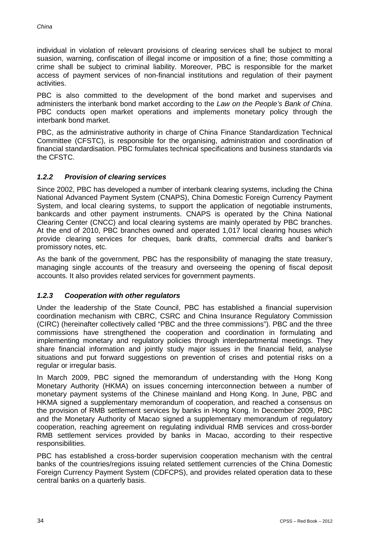individual in violation of relevant provisions of clearing services shall be subject to moral suasion, warning, confiscation of illegal income or imposition of a fine; those committing a crime shall be subject to criminal liability. Moreover, PBC is responsible for the market access of payment services of non-financial institutions and regulation of their payment activities.

PBC is also committed to the development of the bond market and supervises and administers the interbank bond market according to the *Law on the People's Bank of China*. PBC conducts open market operations and implements monetary policy through the interbank bond market.

PBC, as the administrative authority in charge of China Finance Standardization Technical Committee (CFSTC), is responsible for the organising, administration and coordination of financial standardisation. PBC formulates technical specifications and business standards via the CFSTC.

## *1.2.2 Provision of clearing services*

Since 2002, PBC has developed a number of interbank clearing systems, including the China National Advanced Payment System (CNAPS), China Domestic Foreign Currency Payment System, and local clearing systems, to support the application of negotiable instruments, bankcards and other payment instruments. CNAPS is operated by the China National Clearing Center (CNCC) and local clearing systems are mainly operated by PBC branches. At the end of 2010, PBC branches owned and operated 1,017 local clearing houses which provide clearing services for cheques, bank drafts, commercial drafts and banker's promissory notes, etc.

As the bank of the government, PBC has the responsibility of managing the state treasury, managing single accounts of the treasury and overseeing the opening of fiscal deposit accounts. It also provides related services for government payments.

#### *1.2.3 Cooperation with other regulators*

Under the leadership of the State Council, PBC has established a financial supervision coordination mechanism with CBRC, CSRC and China Insurance Regulatory Commission (CIRC) (hereinafter collectively called "PBC and the three commissions"). PBC and the three commissions have strengthened the cooperation and coordination in formulating and implementing monetary and regulatory policies through interdepartmental meetings. They share financial information and jointly study major issues in the financial field, analyse situations and put forward suggestions on prevention of crises and potential risks on a regular or irregular basis.

In March 2009, PBC signed the memorandum of understanding with the Hong Kong Monetary Authority (HKMA) on issues concerning interconnection between a number of monetary payment systems of the Chinese mainland and Hong Kong. In June, PBC and HKMA signed a supplementary memorandum of cooperation, and reached a consensus on the provision of RMB settlement services by banks in Hong Kong. In December 2009, PBC and the Monetary Authority of Macao signed a supplementary memorandum of regulatory cooperation, reaching agreement on regulating individual RMB services and cross-border RMB settlement services provided by banks in Macao, according to their respective responsibilities.

PBC has established a cross-border supervision cooperation mechanism with the central banks of the countries/regions issuing related settlement currencies of the China Domestic Foreign Currency Payment System (CDFCPS), and provides related operation data to these central banks on a quarterly basis.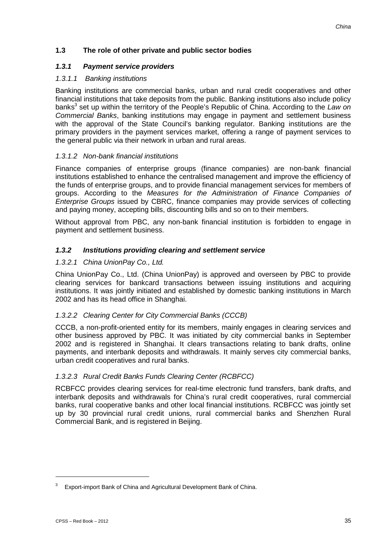## **1.3 The role of other private and public sector bodies**

#### *1.3.1 Payment service providers*

#### *1.3.1.1 Banking institutions*

Banking institutions are commercial banks, urban and rural credit cooperatives and other financial institutions that take deposits from the public. Banking institutions also include policy banks<sup>3</sup> set up within the territory of the People's Republic of China. According to the Law on *Commercial Banks*, banking institutions may engage in payment and settlement business with the approval of the State Council's banking regulator. Banking institutions are the primary providers in the payment services market, offering a range of payment services to the general public via their network in urban and rural areas.

#### *1.3.1.2 Non-bank financial institutions*

Finance companies of enterprise groups (finance companies) are non-bank financial institutions established to enhance the centralised management and improve the efficiency of the funds of enterprise groups, and to provide financial management services for members of groups. According to the *Measures for the Administration of Finance Companies of Enterprise Groups* issued by CBRC, finance companies may provide services of collecting and paying money, accepting bills, discounting bills and so on to their members.

Without approval from PBC, any non-bank financial institution is forbidden to engage in payment and settlement business.

#### *1.3.2 Institutions providing clearing and settlement service*

#### *1.3.2.1 China UnionPay Co., Ltd.*

China UnionPay Co., Ltd. (China UnionPay) is approved and overseen by PBC to provide clearing services for bankcard transactions between issuing institutions and acquiring institutions. It was jointly initiated and established by domestic banking institutions in March 2002 and has its head office in Shanghai.

#### *1.3.2.2 Clearing Center for City Commercial Banks (CCCB)*

CCCB, a non-profit-oriented entity for its members, mainly engages in clearing services and other business approved by PBC. It was initiated by city commercial banks in September 2002 and is registered in Shanghai. It clears transactions relating to bank drafts, online payments, and interbank deposits and withdrawals. It mainly serves city commercial banks, urban credit cooperatives and rural banks.

#### *1.3.2.3 Rural Credit Banks Funds Clearing Center (RCBFCC)*

RCBFCC provides clearing services for real-time electronic fund transfers, bank drafts, and interbank deposits and withdrawals for China's rural credit cooperatives, rural commercial banks, rural cooperative banks and other local financial institutions. RCBFCC was jointly set up by 30 provincial rural credit unions, rural commercial banks and Shenzhen Rural Commercial Bank, and is registered in Beijing.

 $3$  Export-import Bank of China and Agricultural Development Bank of China.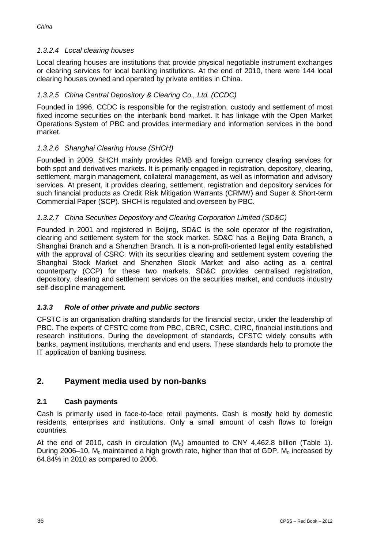## *1.3.2.4 Local clearing houses*

Local clearing houses are institutions that provide physical negotiable instrument exchanges or clearing services for local banking institutions. At the end of 2010, there were 144 local clearing houses owned and operated by private entities in China.

## *1.3.2.5 China Central Depository & Clearing Co., Ltd. (CCDC)*

Founded in 1996, CCDC is responsible for the registration, custody and settlement of most fixed income securities on the interbank bond market. It has linkage with the Open Market Operations System of PBC and provides intermediary and information services in the bond market.

## *1.3.2.6 Shanghai Clearing House (SHCH)*

Founded in 2009, SHCH mainly provides RMB and foreign currency clearing services for both spot and derivatives markets. It is primarily engaged in registration, depository, clearing, settlement, margin management, collateral management, as well as information and advisory services. At present, it provides clearing, settlement, registration and depository services for such financial products as Credit Risk Mitigation Warrants (CRMW) and Super & Short-term Commercial Paper (SCP). SHCH is regulated and overseen by PBC.

## *1.3.2.7 China Securities Depository and Clearing Corporation Limited (SD&C)*

Founded in 2001 and registered in Beijing, SD&C is the sole operator of the registration, clearing and settlement system for the stock market. SD&C has a Beijing Data Branch, a Shanghai Branch and a Shenzhen Branch. It is a non-profit-oriented legal entity established with the approval of CSRC. With its securities clearing and settlement system covering the Shanghai Stock Market and Shenzhen Stock Market and also acting as a central counterparty (CCP) for these two markets, SD&C provides centralised registration, depository, clearing and settlement services on the securities market, and conducts industry self-discipline management.

## *1.3.3 Role of other private and public sectors*

CFSTC is an organisation drafting standards for the financial sector, under the leadership of PBC. The experts of CFSTC come from PBC, CBRC, CSRC, CIRC, financial institutions and research institutions. During the development of standards, CFSTC widely consults with banks, payment institutions, merchants and end users. These standards help to promote the IT application of banking business.

## **2. Payment media used by non-banks**

#### **2.1 Cash payments**

Cash is primarily used in face-to-face retail payments. Cash is mostly held by domestic residents, enterprises and institutions. Only a small amount of cash flows to foreign countries.

At the end of 2010, cash in circulation  $(M_0)$  amounted to CNY 4,462.8 billion (Table 1). During 2006–10,  $M_0$  maintained a high growth rate, higher than that of GDP.  $M_0$  increased by 64.84% in 2010 as compared to 2006.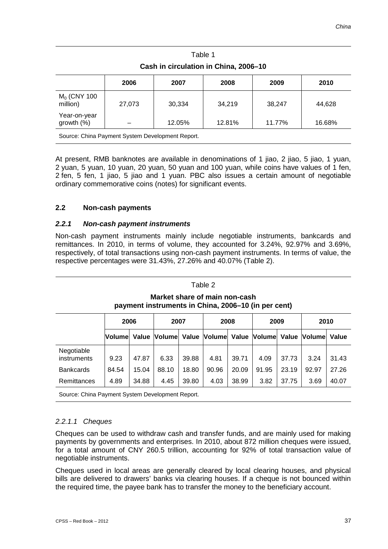| Cash in circulation in China, 2006-10            |        |        |        |        |        |  |  |
|--------------------------------------------------|--------|--------|--------|--------|--------|--|--|
| 2006<br>2008<br>2009<br>2010<br>2007             |        |        |        |        |        |  |  |
| $M0$ (CNY 100<br>million)                        | 27,073 | 30,334 | 34.219 | 38,247 | 44,628 |  |  |
| Year-on-year<br>growth $(\%)$                    |        | 12.05% | 12.81% | 11.77% | 16.68% |  |  |
| Source: China Payment System Development Report. |        |        |        |        |        |  |  |

Table 1

At present, RMB banknotes are available in denominations of 1 jiao, 2 jiao, 5 jiao, 1 yuan, 2 yuan, 5 yuan, 10 yuan, 20 yuan, 50 yuan and 100 yuan, while coins have values of 1 fen, 2 fen, 5 fen, 1 jiao, 5 jiao and 1 yuan. PBC also issues a certain amount of negotiable ordinary commemorative coins (notes) for significant events.

#### **2.2 Non-cash payments**

#### *2.2.1 Non-cash payment instruments*

Non-cash payment instruments mainly include negotiable instruments, bankcards and remittances. In 2010, in terms of volume, they accounted for 3.24%, 92.97% and 3.69%, respectively, of total transactions using non-cash payment instruments. In terms of value, the respective percentages were 31.43%, 27.26% and 40.07% (Table 2).

#### Table 2

**Market share of main non-cash payment instruments in China, 2006–10 (in per cent)**

|                           | 2006    |       | 2007          |       | 2008  |       | 2009  |       | 2010                                               |       |
|---------------------------|---------|-------|---------------|-------|-------|-------|-------|-------|----------------------------------------------------|-------|
|                           | Volumel | Value | <b>Volume</b> |       |       |       |       |       | Value  Volume  Value  Volume  Value  Volume  Value |       |
| Negotiable<br>instruments | 9.23    | 47.87 | 6.33          | 39.88 | 4.81  | 39.71 | 4.09  | 37.73 | 3.24                                               | 31.43 |
| <b>Bankcards</b>          | 84.54   | 15.04 | 88.10         | 18.80 | 90.96 | 20.09 | 91.95 | 23.19 | 92.97                                              | 27.26 |
| Remittances               | 4.89    | 34.88 | 4.45          | 39.80 | 4.03  | 38.99 | 3.82  | 37.75 | 3.69                                               | 40.07 |

Source: China Payment System Development Report.

#### *2.2.1.1 Cheques*

Cheques can be used to withdraw cash and transfer funds, and are mainly used for making payments by governments and enterprises. In 2010, about 872 million cheques were issued, for a total amount of CNY 260.5 trillion, accounting for 92% of total transaction value of negotiable instruments.

Cheques used in local areas are generally cleared by local clearing houses, and physical bills are delivered to drawers' banks via clearing houses. If a cheque is not bounced within the required time, the payee bank has to transfer the money to the beneficiary account.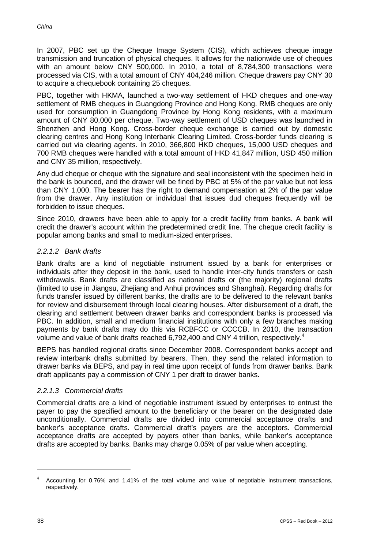In 2007, PBC set up the Cheque Image System (CIS), which achieves cheque image transmission and truncation of physical cheques. It allows for the nationwide use of cheques with an amount below CNY 500,000. In 2010, a total of 8,784,300 transactions were processed via CIS, with a total amount of CNY 404,246 million. Cheque drawers pay CNY 30 to acquire a chequebook containing 25 cheques.

PBC, together with HKMA, launched a two-way settlement of HKD cheques and one-way settlement of RMB cheques in Guangdong Province and Hong Kong. RMB cheques are only used for consumption in Guangdong Province by Hong Kong residents, with a maximum amount of CNY 80,000 per cheque. Two-way settlement of USD cheques was launched in Shenzhen and Hong Kong. Cross-border cheque exchange is carried out by domestic clearing centres and Hong Kong Interbank Clearing Limited. Cross-border funds clearing is carried out via clearing agents. In 2010, 366,800 HKD cheques, 15,000 USD cheques and 700 RMB cheques were handled with a total amount of HKD 41,847 million, USD 450 million and CNY 35 million, respectively.

Any dud cheque or cheque with the signature and seal inconsistent with the specimen held in the bank is bounced, and the drawer will be fined by PBC at 5% of the par value but not less than CNY 1,000. The bearer has the right to demand compensation at 2% of the par value from the drawer. Any institution or individual that issues dud cheques frequently will be forbidden to issue cheques.

Since 2010, drawers have been able to apply for a credit facility from banks. A bank will credit the drawer's account within the predetermined credit line. The cheque credit facility is popular among banks and small to medium-sized enterprises.

#### *2.2.1.2 Bank drafts*

Bank drafts are a kind of negotiable instrument issued by a bank for enterprises or individuals after they deposit in the bank, used to handle inter-city funds transfers or cash withdrawals. Bank drafts are classified as national drafts or (the majority) regional drafts (limited to use in Jiangsu, Zhejiang and Anhui provinces and Shanghai). Regarding drafts for funds transfer issued by different banks, the drafts are to be delivered to the relevant banks for review and disbursement through local clearing houses. After disbursement of a draft, the clearing and settlement between drawer banks and correspondent banks is processed via PBC. In addition, small and medium financial institutions with only a few branches making payments by bank drafts may do this via RCBFCC or CCCCB. In 2010, the transaction volume and value of bank drafts reached 6,792,400 and CNY 4 trillion, respectively.<sup>4</sup>

BEPS has handled regional drafts since December 2008. Correspondent banks accept and review interbank drafts submitted by bearers. Then, they send the related information to drawer banks via BEPS, and pay in real time upon receipt of funds from drawer banks. Bank draft applicants pay a commission of CNY 1 per draft to drawer banks.

#### *2.2.1.3 Commercial drafts*

Commercial drafts are a kind of negotiable instrument issued by enterprises to entrust the payer to pay the specified amount to the beneficiary or the bearer on the designated date unconditionally. Commercial drafts are divided into commercial acceptance drafts and banker's acceptance drafts. Commercial draft's payers are the acceptors. Commercial acceptance drafts are accepted by payers other than banks, while banker's acceptance drafts are accepted by banks. Banks may charge 0.05% of par value when accepting.

<sup>4</sup> Accounting for 0.76% and 1.41% of the total volume and value of negotiable instrument transactions, respectively.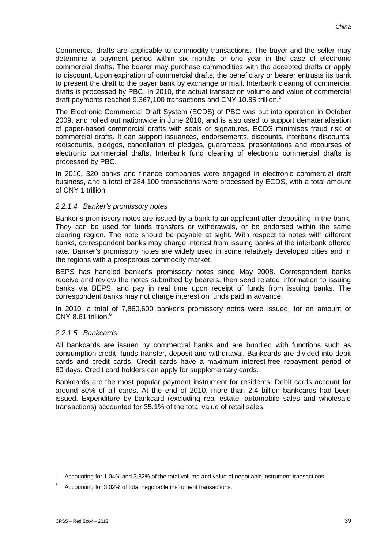Commercial drafts are applicable to commodity transactions. The buyer and the seller may determine a payment period within six months or one year in the case of electronic commercial drafts. The bearer may purchase commodities with the accepted drafts or apply to discount. Upon expiration of commercial drafts, the beneficiary or bearer entrusts its bank to present the draft to the payer bank by exchange or mail. Interbank clearing of commercial drafts is processed by PBC. In 2010, the actual transaction volume and value of commercial draft payments reached 9,367,100 transactions and CNY 10.85 trillion.<sup>5</sup>

The Electronic Commercial Draft System (ECDS) of PBC was put into operation in October 2009, and rolled out nationwide in June 2010, and is also used to support dematerialisation of paper-based commercial drafts with seals or signatures. ECDS minimises fraud risk of commercial drafts. It can support issuances, endorsements, discounts, interbank discounts, rediscounts, pledges, cancellation of pledges, guarantees, presentations and recourses of electronic commercial drafts. Interbank fund clearing of electronic commercial drafts is processed by PBC.

In 2010, 320 banks and finance companies were engaged in electronic commercial draft business, and a total of 284,100 transactions were processed by ECDS, with a total amount of CNY 1 trillion.

#### *2.2.1.4 Banker's promissory notes*

Banker's promissory notes are issued by a bank to an applicant after depositing in the bank. They can be used for funds transfers or withdrawals, or be endorsed within the same clearing region. The note should be payable at sight. With respect to notes with different banks, correspondent banks may charge interest from issuing banks at the interbank offered rate. Banker's promissory notes are widely used in some relatively developed cities and in the regions with a prosperous commodity market.

BEPS has handled banker's promissory notes since May 2008. Correspondent banks receive and review the notes submitted by bearers, then send related information to issuing banks via BEPS, and pay in real time upon receipt of funds from issuing banks. The correspondent banks may not charge interest on funds paid in advance.

In 2010, a total of 7,860,600 banker's promissory notes were issued, for an amount of CNY 8.61 trillion. $6$ 

#### *2.2.1.5 Bankcards*

All bankcards are issued by commercial banks and are bundled with functions such as consumption credit, funds transfer, deposit and withdrawal. Bankcards are divided into debit cards and credit cards. Credit cards have a maximum interest-free repayment period of 60 days. Credit card holders can apply for supplementary cards.

Bankcards are the most popular payment instrument for residents. Debit cards account for around 80% of all cards. At the end of 2010, more than 2.4 billion bankcards had been issued. Expenditure by bankcard (excluding real estate, automobile sales and wholesale transactions) accounted for 35.1% of the total value of retail sales.

<u>.</u>

<sup>5</sup> Accounting for 1.04% and 3.82% of the total volume and value of negotiable instrument transactions.

 $6$  Accounting for 3.02% of total negotiable instrument transactions.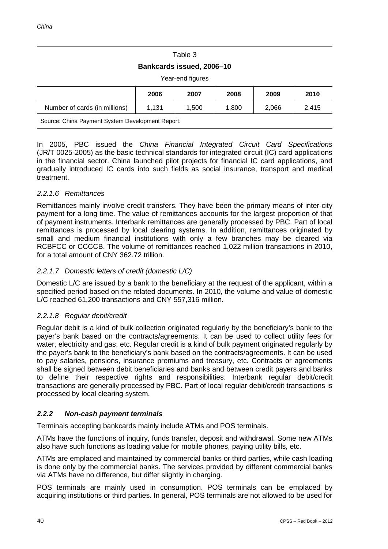## Table 3

#### **Bankcards issued, 2006–10**

Year-end figures

|                                                                    | 2006                               | 2007  | 2008  | 2009  | 2010  |
|--------------------------------------------------------------------|------------------------------------|-------|-------|-------|-------|
| Number of cards (in millions)                                      | 1.131                              | 1.500 | 1.800 | 2,066 | 2.415 |
| ----<br>$\sim$<br>$\sim$ $\sim$ $\sim$ $\sim$ $\sim$ $\sim$ $\sim$ | $\sim$ $\sim$ $\sim$ $\sim$ $\sim$ |       |       |       |       |

Source: China Payment System Development Report.

In 2005, PBC issued the *China Financial Integrated Circuit Card Specifications* (JR/T 0025-2005) as the basic technical standards for integrated circuit (IC) card applications in the financial sector. China launched pilot projects for financial IC card applications, and gradually introduced IC cards into such fields as social insurance, transport and medical treatment.

#### *2.2.1.6 Remittances*

Remittances mainly involve credit transfers. They have been the primary means of inter-city payment for a long time. The value of remittances accounts for the largest proportion of that of payment instruments. Interbank remittances are generally processed by PBC. Part of local remittances is processed by local clearing systems. In addition, remittances originated by small and medium financial institutions with only a few branches may be cleared via RCBFCC or CCCCB. The volume of remittances reached 1,022 million transactions in 2010, for a total amount of CNY 362.72 trillion.

## *2.2.1.7 Domestic letters of credit (domestic L/C)*

Domestic L/C are issued by a bank to the beneficiary at the request of the applicant, within a specified period based on the related documents. In 2010, the volume and value of domestic L/C reached 61,200 transactions and CNY 557,316 million.

#### *2.2.1.8 Regular debit/credit*

Regular debit is a kind of bulk collection originated regularly by the beneficiary's bank to the payer's bank based on the contracts/agreements. It can be used to collect utility fees for water, electricity and gas, etc. Regular credit is a kind of bulk payment originated regularly by the payer's bank to the beneficiary's bank based on the contracts/agreements. It can be used to pay salaries, pensions, insurance premiums and treasury, etc. Contracts or agreements shall be signed between debit beneficiaries and banks and between credit payers and banks to define their respective rights and responsibilities. Interbank regular debit/credit transactions are generally processed by PBC. Part of local regular debit/credit transactions is processed by local clearing system.

#### *2.2.2 Non-cash payment terminals*

Terminals accepting bankcards mainly include ATMs and POS terminals.

ATMs have the functions of inquiry, funds transfer, deposit and withdrawal. Some new ATMs also have such functions as loading value for mobile phones, paying utility bills, etc.

ATMs are emplaced and maintained by commercial banks or third parties, while cash loading is done only by the commercial banks. The services provided by different commercial banks via ATMs have no difference, but differ slightly in charging.

POS terminals are mainly used in consumption. POS terminals can be emplaced by acquiring institutions or third parties. In general, POS terminals are not allowed to be used for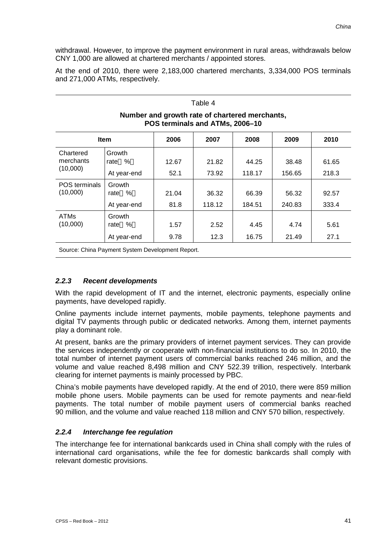withdrawal. However, to improve the payment environment in rural areas, withdrawals below CNY 1,000 are allowed at chartered merchants / appointed stores.

At the end of 2010, there were 2,183,000 chartered merchants, 3,334,000 POS terminals and 271,000 ATMs, respectively.

#### Table 4 **Number and growth rate of chartered merchants, POS terminals and ATMs, 2006–10 Item 2006 2007 2008 2009 2010 Chartered** merchants (10,000) **Growth** rate % | 12.67 | 21.82 | 44.25 | 38.48 | 61.65 At year-end | 52.1 | 73.92 | 118.17 | 156.65 | 218.3 POS terminals (10,000) Growth rate % | 21.04 | 36.32 | 66.39 | 56.32 | 92.57 At year-end | 81.8 | 118.12 | 184.51 | 240.83 | 333.4 ATMs (10,000) Growth<br>rate % rate % | 1.57 | 2.52 | 4.45 | 4.74 | 5.61 At year-end | 9.78 | 12.3 | 16.75 | 21.49 | 27.1

Source: China Payment System Development Report.

## *2.2.3 Recent developments*

With the rapid development of IT and the internet, electronic payments, especially online payments, have developed rapidly.

Online payments include internet payments, mobile payments, telephone payments and digital TV payments through public or dedicated networks. Among them, internet payments play a dominant role.

At present, banks are the primary providers of internet payment services. They can provide the services independently or cooperate with non-financial institutions to do so. In 2010, the total number of internet payment users of commercial banks reached 246 million, and the volume and value reached 8,498 million and CNY 522.39 trillion, respectively. Interbank clearing for internet payments is mainly processed by PBC.

China's mobile payments have developed rapidly. At the end of 2010, there were 859 million mobile phone users. Mobile payments can be used for remote payments and near-field payments. The total number of mobile payment users of commercial banks reached 90 million, and the volume and value reached 118 million and CNY 570 billion, respectively.

## *2.2.4 Interchange fee regulation*

The interchange fee for international bankcards used in China shall comply with the rules of international card organisations, while the fee for domestic bankcards shall comply with relevant domestic provisions.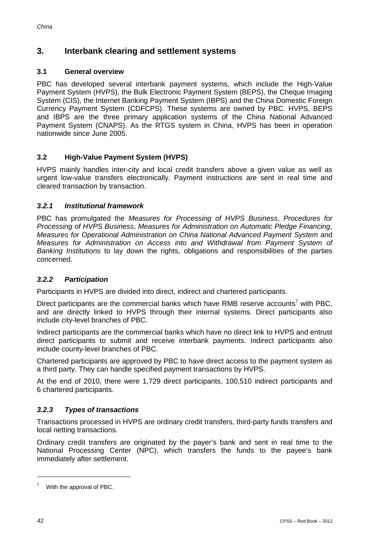## **3. Interbank clearing and settlement systems**

## **3.1 General overview**

PBC has developed several interbank payment systems, which include the High-Value Payment System (HVPS), the Bulk Electronic Payment System (BEPS), the Cheque Imaging System (CIS), the Internet Banking Payment System (IBPS) and the China Domestic Foreign Currency Payment System (CDFCPS). These systems are owned by PBC. HVPS, BEPS and IBPS are the three primary application systems of the China National Advanced Payment System (CNAPS). As the RTGS system in China, HVPS has been in operation nationwide since June 2005.

## **3.2 High-Value Payment System (HVPS)**

HVPS mainly handles inter-city and local credit transfers above a given value as well as urgent low-value transfers electronically. Payment instructions are sent in real time and cleared transaction by transaction.

## *3.2.1 Institutional framework*

PBC has promulgated the *Measures for Processing of HVPS Business*, *Procedures for Processing of HVPS Business*, *Measures for Administration on Automatic Pledge Financing*, *Measures for Operational Administration on China National Advanced Payment System* and *Measures for Administration on Access into and Withdrawal from Payment System of Banking Institutions* to lay down the rights, obligations and responsibilities of the parties concerned.

## *3.2.2 Participation*

Participants in HVPS are divided into direct, indirect and chartered participants.

Direct participants are the commercial banks which have RMB reserve accounts<sup>7</sup> with PBC, and are directly linked to HVPS through their internal systems. Direct participants also include city-level branches of PBC.

Indirect participants are the commercial banks which have no direct link to HVPS and entrust direct participants to submit and receive interbank payments. Indirect participants also include county-level branches of PBC.

Chartered participants are approved by PBC to have direct access to the payment system as a third party. They can handle specified payment transactions by HVPS.

At the end of 2010, there were 1,729 direct participants, 100,510 indirect participants and 6 chartered participants.

## *3.2.3 Types of transactions*

Transactions processed in HVPS are ordinary credit transfers, third-party funds transfers and local netting transactions.

Ordinary credit transfers are originated by the payer's bank and sent in real time to the National Processing Center (NPC), which transfers the funds to the payee's bank immediately after settlement.

<sup>7</sup> With the approval of PBC.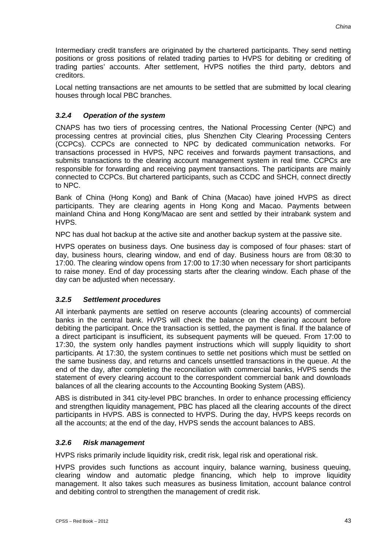Intermediary credit transfers are originated by the chartered participants. They send netting positions or gross positions of related trading parties to HVPS for debiting or crediting of trading parties' accounts. After settlement, HVPS notifies the third party, debtors and creditors.

Local netting transactions are net amounts to be settled that are submitted by local clearing houses through local PBC branches.

## *3.2.4 Operation of the system*

CNAPS has two tiers of processing centres, the National Processing Center (NPC) and processing centres at provincial cities, plus Shenzhen City Clearing Processing Centers (CCPCs). CCPCs are connected to NPC by dedicated communication networks. For transactions processed in HVPS, NPC receives and forwards payment transactions, and submits transactions to the clearing account management system in real time. CCPCs are responsible for forwarding and receiving payment transactions. The participants are mainly connected to CCPCs. But chartered participants, such as CCDC and SHCH, connect directly to NPC.

Bank of China (Hong Kong) and Bank of China (Macao) have joined HVPS as direct participants. They are clearing agents in Hong Kong and Macao. Payments between mainland China and Hong Kong/Macao are sent and settled by their intrabank system and HVPS.

NPC has dual hot backup at the active site and another backup system at the passive site.

HVPS operates on business days. One business day is composed of four phases: start of day, business hours, clearing window, and end of day. Business hours are from 08:30 to 17:00. The clearing window opens from 17:00 to 17:30 when necessary for short participants to raise money. End of day processing starts after the clearing window. Each phase of the day can be adjusted when necessary.

## *3.2.5 Settlement procedures*

All interbank payments are settled on reserve accounts (clearing accounts) of commercial banks in the central bank. HVPS will check the balance on the clearing account before debiting the participant. Once the transaction is settled, the payment is final. If the balance of a direct participant is insufficient, its subsequent payments will be queued. From 17:00 to 17:30, the system only handles payment instructions which will supply liquidity to short participants. At 17:30, the system continues to settle net positions which must be settled on the same business day, and returns and cancels unsettled transactions in the queue. At the end of the day, after completing the reconciliation with commercial banks, HVPS sends the statement of every clearing account to the correspondent commercial bank and downloads balances of all the clearing accounts to the Accounting Booking System (ABS).

ABS is distributed in 341 city-level PBC branches. In order to enhance processing efficiency and strengthen liquidity management, PBC has placed all the clearing accounts of the direct participants in HVPS. ABS is connected to HVPS. During the day, HVPS keeps records on all the accounts; at the end of the day, HVPS sends the account balances to ABS.

#### *3.2.6 Risk management*

HVPS risks primarily include liquidity risk, credit risk, legal risk and operational risk.

HVPS provides such functions as account inquiry, balance warning, business queuing, clearing window and automatic pledge financing, which help to improve liquidity management. It also takes such measures as business limitation, account balance control and debiting control to strengthen the management of credit risk.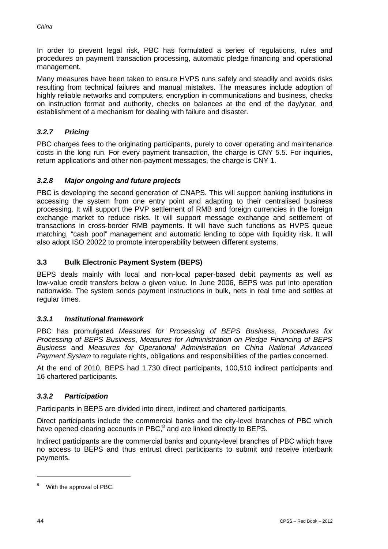In order to prevent legal risk, PBC has formulated a series of regulations, rules and procedures on payment transaction processing, automatic pledge financing and operational management.

Many measures have been taken to ensure HVPS runs safely and steadily and avoids risks resulting from technical failures and manual mistakes. The measures include adoption of highly reliable networks and computers, encryption in communications and business, checks on instruction format and authority, checks on balances at the end of the day/year, and establishment of a mechanism for dealing with failure and disaster.

## *3.2.7 Pricing*

PBC charges fees to the originating participants, purely to cover operating and maintenance costs in the long run. For every payment transaction, the charge is CNY 5.5. For inquiries, return applications and other non-payment messages, the charge is CNY 1.

## *3.2.8 Major ongoing and future projects*

PBC is developing the second generation of CNAPS. This will support banking institutions in accessing the system from one entry point and adapting to their centralised business processing. It will support the PVP settlement of RMB and foreign currencies in the foreign exchange market to reduce risks. It will support message exchange and settlement of transactions in cross-border RMB payments. It will have such functions as HVPS queue matching, "cash pool" management and automatic lending to cope with liquidity risk. It will also adopt ISO 20022 to promote interoperability between different systems.

## **3.3 Bulk Electronic Payment System (BEPS)**

BEPS deals mainly with local and non-local paper-based debit payments as well as low-value credit transfers below a given value. In June 2006, BEPS was put into operation nationwide. The system sends payment instructions in bulk, nets in real time and settles at regular times.

#### *3.3.1 Institutional framework*

PBC has promulgated *Measures for Processing of BEPS Business*, *Procedures for Processing of BEPS Business*, *Measures for Administration on Pledge Financing of BEPS Business* and *Measures for Operational Administration on China National Advanced Payment System* to regulate rights, obligations and responsibilities of the parties concerned.

At the end of 2010, BEPS had 1,730 direct participants, 100,510 indirect participants and 16 chartered participants.

## *3.3.2 Participation*

Participants in BEPS are divided into direct, indirect and chartered participants.

Direct participants include the commercial banks and the city-level branches of PBC which have opened clearing accounts in PBC,<sup>8</sup> and are linked directly to BEPS.

Indirect participants are the commercial banks and county-level branches of PBC which have no access to BEPS and thus entrust direct participants to submit and receive interbank payments.

<sup>8</sup> With the approval of PBC.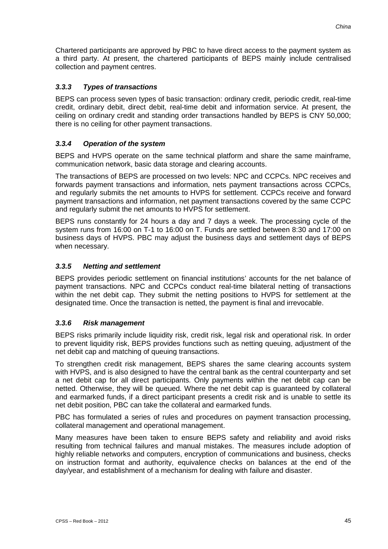Chartered participants are approved by PBC to have direct access to the payment system as a third party. At present, the chartered participants of BEPS mainly include centralised collection and payment centres.

#### *3.3.3 Types of transactions*

BEPS can process seven types of basic transaction: ordinary credit, periodic credit, real-time credit, ordinary debit, direct debit, real-time debit and information service. At present, the ceiling on ordinary credit and standing order transactions handled by BEPS is CNY 50,000; there is no ceiling for other payment transactions.

## *3.3.4 Operation of the system*

BEPS and HVPS operate on the same technical platform and share the same mainframe, communication network, basic data storage and clearing accounts.

The transactions of BEPS are processed on two levels: NPC and CCPCs. NPC receives and forwards payment transactions and information, nets payment transactions across CCPCs, and regularly submits the net amounts to HVPS for settlement. CCPCs receive and forward payment transactions and information, net payment transactions covered by the same CCPC and regularly submit the net amounts to HVPS for settlement.

BEPS runs constantly for 24 hours a day and 7 days a week. The processing cycle of the system runs from 16:00 on T-1 to 16:00 on T. Funds are settled between 8:30 and 17:00 on business days of HVPS. PBC may adjust the business days and settlement days of BEPS when necessary.

## *3.3.5 Netting and settlement*

BEPS provides periodic settlement on financial institutions' accounts for the net balance of payment transactions. NPC and CCPCs conduct real-time bilateral netting of transactions within the net debit cap. They submit the netting positions to HVPS for settlement at the designated time. Once the transaction is netted, the payment is final and irrevocable.

#### *3.3.6 Risk management*

BEPS risks primarily include liquidity risk, credit risk, legal risk and operational risk. In order to prevent liquidity risk, BEPS provides functions such as netting queuing, adjustment of the net debit cap and matching of queuing transactions.

To strengthen credit risk management, BEPS shares the same clearing accounts system with HVPS, and is also designed to have the central bank as the central counterparty and set a net debit cap for all direct participants. Only payments within the net debit cap can be netted. Otherwise, they will be queued. Where the net debit cap is guaranteed by collateral and earmarked funds, if a direct participant presents a credit risk and is unable to settle its net debit position, PBC can take the collateral and earmarked funds.

PBC has formulated a series of rules and procedures on payment transaction processing, collateral management and operational management.

Many measures have been taken to ensure BEPS safety and reliability and avoid risks resulting from technical failures and manual mistakes. The measures include adoption of highly reliable networks and computers, encryption of communications and business, checks on instruction format and authority, equivalence checks on balances at the end of the day/year, and establishment of a mechanism for dealing with failure and disaster.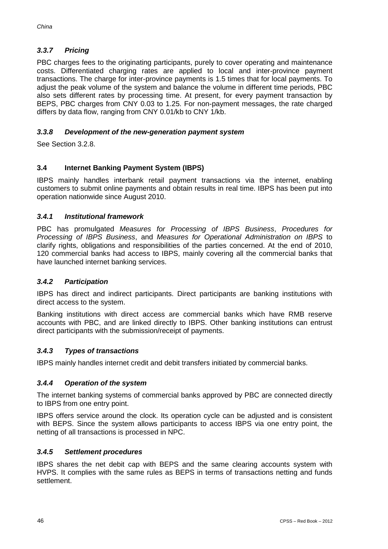## *3.3.7 Pricing*

PBC charges fees to the originating participants, purely to cover operating and maintenance costs. Differentiated charging rates are applied to local and inter-province payment transactions. The charge for inter-province payments is 1.5 times that for local payments. To adjust the peak volume of the system and balance the volume in different time periods, PBC also sets different rates by processing time. At present, for every payment transaction by BEPS, PBC charges from CNY 0.03 to 1.25. For non-payment messages, the rate charged differs by data flow, ranging from CNY 0.01/kb to CNY 1/kb.

#### *3.3.8 Development of the new-generation payment system*

See Section 3.2.8.

## **3.4 Internet Banking Payment System (IBPS)**

IBPS mainly handles interbank retail payment transactions via the internet, enabling customers to submit online payments and obtain results in real time. IBPS has been put into operation nationwide since August 2010.

#### *3.4.1 Institutional framework*

PBC has promulgated *Measures for Processing of IBPS Business*, *Procedures for Processing of IBPS Business*, and *Measures for Operational Administration on IBPS* to clarify rights, obligations and responsibilities of the parties concerned. At the end of 2010, 120 commercial banks had access to IBPS, mainly covering all the commercial banks that have launched internet banking services.

#### *3.4.2 Participation*

IBPS has direct and indirect participants. Direct participants are banking institutions with direct access to the system.

Banking institutions with direct access are commercial banks which have RMB reserve accounts with PBC, and are linked directly to IBPS. Other banking institutions can entrust direct participants with the submission/receipt of payments.

#### *3.4.3 Types of transactions*

IBPS mainly handles internet credit and debit transfers initiated by commercial banks.

#### *3.4.4 Operation of the system*

The internet banking systems of commercial banks approved by PBC are connected directly to IBPS from one entry point.

IBPS offers service around the clock. Its operation cycle can be adjusted and is consistent with BEPS. Since the system allows participants to access IBPS via one entry point, the netting of all transactions is processed in NPC.

#### *3.4.5 Settlement procedures*

IBPS shares the net debit cap with BEPS and the same clearing accounts system with HVPS. It complies with the same rules as BEPS in terms of transactions netting and funds settlement.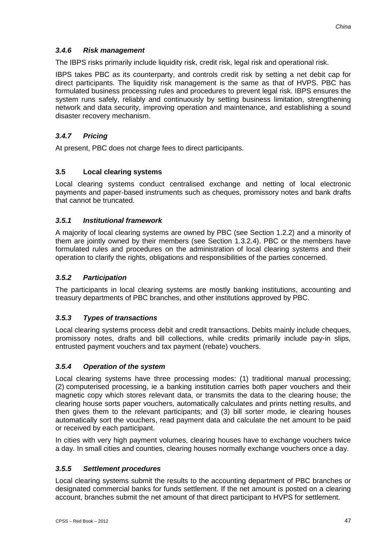## *3.4.6 Risk management*

The IBPS risks primarily include liquidity risk, credit risk, legal risk and operational risk.

IBPS takes PBC as its counterparty, and controls credit risk by setting a net debit cap for direct participants. The liquidity risk management is the same as that of HVPS. PBC has formulated business processing rules and procedures to prevent legal risk. IBPS ensures the system runs safely, reliably and continuously by setting business limitation, strengthening network and data security, improving operation and maintenance, and establishing a sound disaster recovery mechanism.

## *3.4.7 Pricing*

At present, PBC does not charge fees to direct participants.

## **3.5 Local clearing systems**

Local clearing systems conduct centralised exchange and netting of local electronic payments and paper-based instruments such as cheques, promissory notes and bank drafts that cannot be truncated.

## *3.5.1 Institutional framework*

A majority of local clearing systems are owned by PBC (see Section 1.2.2) and a minority of them are jointly owned by their members (see Section 1.3.2.4). PBC or the members have formulated rules and procedures on the administration of local clearing systems and their operation to clarify the rights, obligations and responsibilities of the parties concerned.

## *3.5.2 Participation*

The participants in local clearing systems are mostly banking institutions, accounting and treasury departments of PBC branches, and other institutions approved by PBC.

## *3.5.3 Types of transactions*

Local clearing systems process debit and credit transactions. Debits mainly include cheques, promissory notes, drafts and bill collections, while credits primarily include pay-in slips, entrusted payment vouchers and tax payment (rebate) vouchers.

#### *3.5.4 Operation of the system*

Local clearing systems have three processing modes: (1) traditional manual processing; (2) computerised processing, ie a banking institution carries both paper vouchers and their magnetic copy which stores relevant data, or transmits the data to the clearing house; the clearing house sorts paper vouchers, automatically calculates and prints netting results, and then gives them to the relevant participants; and (3) bill sorter mode, ie clearing houses automatically sort the vouchers, read payment data and calculate the net amount to be paid or received by each participant.

In cities with very high payment volumes, clearing houses have to exchange vouchers twice a day. In small cities and counties, clearing houses normally exchange vouchers once a day.

#### *3.5.5 Settlement procedures*

Local clearing systems submit the results to the accounting department of PBC branches or designated commercial banks for funds settlement. If the net amount is posted on a clearing account, branches submit the net amount of that direct participant to HVPS for settlement.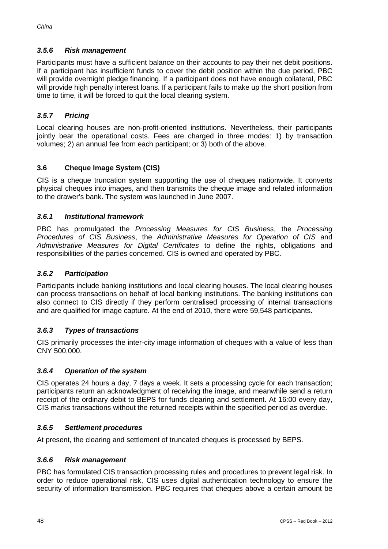## *3.5.6 Risk management*

Participants must have a sufficient balance on their accounts to pay their net debit positions. If a participant has insufficient funds to cover the debit position within the due period, PBC will provide overnight pledge financing. If a participant does not have enough collateral, PBC will provide high penalty interest loans. If a participant fails to make up the short position from time to time, it will be forced to quit the local clearing system.

## *3.5.7 Pricing*

Local clearing houses are non-profit-oriented institutions. Nevertheless, their participants jointly bear the operational costs. Fees are charged in three modes: 1) by transaction volumes; 2) an annual fee from each participant; or 3) both of the above.

## **3.6 Cheque Image System (CIS)**

CIS is a cheque truncation system supporting the use of cheques nationwide. It converts physical cheques into images, and then transmits the cheque image and related information to the drawer's bank. The system was launched in June 2007.

#### *3.6.1 Institutional framework*

PBC has promulgated the *Processing Measures for CIS Business*, the *Processing Procedures of CIS Business*, the *Administrative Measures for Operation of CIS* and *Administrative Measures for Digital Certificates* to define the rights, obligations and responsibilities of the parties concerned. CIS is owned and operated by PBC.

#### *3.6.2 Participation*

Participants include banking institutions and local clearing houses. The local clearing houses can process transactions on behalf of local banking institutions. The banking institutions can also connect to CIS directly if they perform centralised processing of internal transactions and are qualified for image capture. At the end of 2010, there were 59,548 participants.

#### *3.6.3 Types of transactions*

CIS primarily processes the inter-city image information of cheques with a value of less than CNY 500,000.

#### *3.6.4 Operation of the system*

CIS operates 24 hours a day, 7 days a week. It sets a processing cycle for each transaction; participants return an acknowledgment of receiving the image, and meanwhile send a return receipt of the ordinary debit to BEPS for funds clearing and settlement. At 16:00 every day, CIS marks transactions without the returned receipts within the specified period as overdue.

#### *3.6.5 Settlement procedures*

At present, the clearing and settlement of truncated cheques is processed by BEPS.

#### *3.6.6 Risk management*

PBC has formulated CIS transaction processing rules and procedures to prevent legal risk. In order to reduce operational risk, CIS uses digital authentication technology to ensure the security of information transmission. PBC requires that cheques above a certain amount be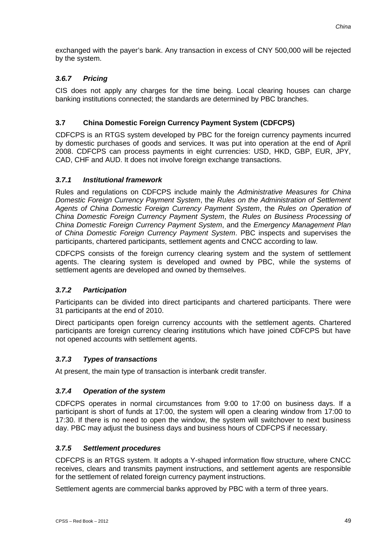exchanged with the payer's bank. Any transaction in excess of CNY 500,000 will be rejected by the system.

## *3.6.7 Pricing*

CIS does not apply any charges for the time being. Local clearing houses can charge banking institutions connected; the standards are determined by PBC branches.

## **3.7 China Domestic Foreign Currency Payment System (CDFCPS)**

CDFCPS is an RTGS system developed by PBC for the foreign currency payments incurred by domestic purchases of goods and services. It was put into operation at the end of April 2008. CDFCPS can process payments in eight currencies: USD, HKD, GBP, EUR, JPY, CAD, CHF and AUD. It does not involve foreign exchange transactions.

#### *3.7.1 Institutional framework*

Rules and regulations on CDFCPS include mainly the *Administrative Measures for China Domestic Foreign Currency Payment System*, the *Rules on the Administration of Settlement Agents of China Domestic Foreign Currency Payment System*, the *Rules on Operation of China Domestic Foreign Currency Payment System*, the *Rules on Business Processing of China Domestic Foreign Currency Payment System*, and the *Emergency Management Plan of China Domestic Foreign Currency Payment System*. PBC inspects and supervises the participants, chartered participants, settlement agents and CNCC according to law.

CDFCPS consists of the foreign currency clearing system and the system of settlement agents. The clearing system is developed and owned by PBC, while the systems of settlement agents are developed and owned by themselves.

#### *3.7.2 Participation*

Participants can be divided into direct participants and chartered participants. There were 31 participants at the end of 2010.

Direct participants open foreign currency accounts with the settlement agents. Chartered participants are foreign currency clearing institutions which have joined CDFCPS but have not opened accounts with settlement agents.

#### *3.7.3 Types of transactions*

At present, the main type of transaction is interbank credit transfer.

#### *3.7.4 Operation of the system*

CDFCPS operates in normal circumstances from 9:00 to 17:00 on business days. If a participant is short of funds at 17:00, the system will open a clearing window from 17:00 to 17:30. If there is no need to open the window, the system will switchover to next business day. PBC may adjust the business days and business hours of CDFCPS if necessary.

#### *3.7.5 Settlement procedures*

CDFCPS is an RTGS system. It adopts a Y-shaped information flow structure, where CNCC receives, clears and transmits payment instructions, and settlement agents are responsible for the settlement of related foreign currency payment instructions.

Settlement agents are commercial banks approved by PBC with a term of three years.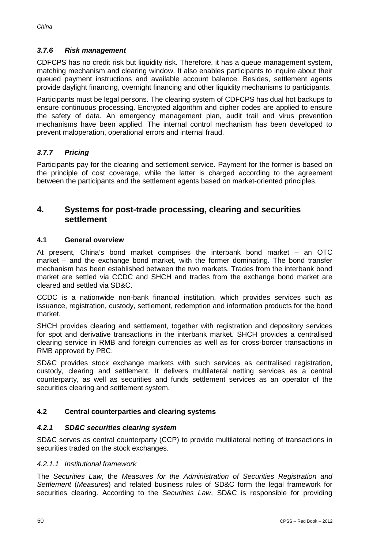## *3.7.6 Risk management*

CDFCPS has no credit risk but liquidity risk. Therefore, it has a queue management system, matching mechanism and clearing window. It also enables participants to inquire about their queued payment instructions and available account balance. Besides, settlement agents provide daylight financing, overnight financing and other liquidity mechanisms to participants.

Participants must be legal persons. The clearing system of CDFCPS has dual hot backups to ensure continuous processing. Encrypted algorithm and cipher codes are applied to ensure the safety of data. An emergency management plan, audit trail and virus prevention mechanisms have been applied. The internal control mechanism has been developed to prevent maloperation, operational errors and internal fraud.

## *3.7.7 Pricing*

Participants pay for the clearing and settlement service. Payment for the former is based on the principle of cost coverage, while the latter is charged according to the agreement between the participants and the settlement agents based on market-oriented principles.

## **4. Systems for post-trade processing, clearing and securities settlement**

#### **4.1 General overview**

At present, China's bond market comprises the interbank bond market – an OTC market – and the exchange bond market, with the former dominating. The bond transfer mechanism has been established between the two markets. Trades from the interbank bond market are settled via CCDC and SHCH and trades from the exchange bond market are cleared and settled via SD&C.

CCDC is a nationwide non-bank financial institution, which provides services such as issuance, registration, custody, settlement, redemption and information products for the bond market.

SHCH provides clearing and settlement, together with registration and depository services for spot and derivative transactions in the interbank market. SHCH provides a centralised clearing service in RMB and foreign currencies as well as for cross-border transactions in RMB approved by PBC.

SD&C provides stock exchange markets with such services as centralised registration, custody, clearing and settlement. It delivers multilateral netting services as a central counterparty, as well as securities and funds settlement services as an operator of the securities clearing and settlement system.

#### **4.2 Central counterparties and clearing systems**

#### *4.2.1 SD&C securities clearing system*

SD&C serves as central counterparty (CCP) to provide multilateral netting of transactions in securities traded on the stock exchanges.

#### *4.2.1.1 Institutional framework*

The *Securities Law*, the *Measures for the Administration of Securities Registration and Settlement* (*Measures*) and related business rules of SD&C form the legal framework for securities clearing. According to the *Securities Law*, SD&C is responsible for providing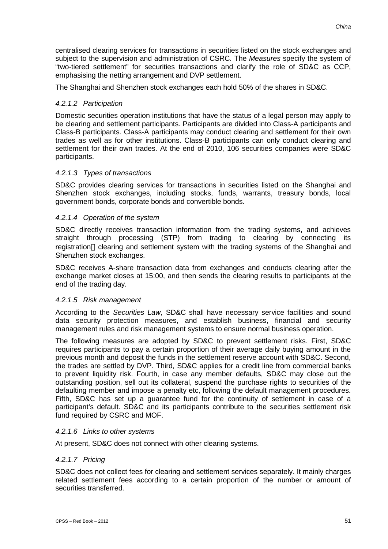centralised clearing services for transactions in securities listed on the stock exchanges and subject to the supervision and administration of CSRC. The *Measures* specify the system of "two-tiered settlement" for securities transactions and clarify the role of SD&C as CCP, emphasising the netting arrangement and DVP settlement.

The Shanghai and Shenzhen stock exchanges each hold 50% of the shares in SD&C.

## *4.2.1.2 Participation*

Domestic securities operation institutions that have the status of a legal person may apply to be clearing and settlement participants. Participants are divided into Class-A participants and Class-B participants. Class-A participants may conduct clearing and settlement for their own trades as well as for other institutions. Class-B participants can only conduct clearing and settlement for their own trades. At the end of 2010, 106 securities companies were SD&C participants.

## *4.2.1.3 Types of transactions*

SD&C provides clearing services for transactions in securities listed on the Shanghai and Shenzhen stock exchanges, including stocks, funds, warrants, treasury bonds, local government bonds, corporate bonds and convertible bonds.

#### *4.2.1.4 Operation of the system*

SD&C directly receives transaction information from the trading systems, and achieves straight through processing (STP) from trading to clearing by connecting its registration clearing and settlement system with the trading systems of the Shanghai and Shenzhen stock exchanges.

SD&C receives A-share transaction data from exchanges and conducts clearing after the exchange market closes at 15:00, and then sends the clearing results to participants at the end of the trading day.

#### *4.2.1.5 Risk management*

According to the *Securities Law*, SD&C shall have necessary service facilities and sound data security protection measures, and establish business, financial and security management rules and risk management systems to ensure normal business operation.

The following measures are adopted by SD&C to prevent settlement risks. First, SD&C requires participants to pay a certain proportion of their average daily buying amount in the previous month and deposit the funds in the settlement reserve account with SD&C. Second, the trades are settled by DVP. Third, SD&C applies for a credit line from commercial banks to prevent liquidity risk. Fourth, in case any member defaults, SD&C may close out the outstanding position, sell out its collateral, suspend the purchase rights to securities of the defaulting member and impose a penalty etc, following the default management procedures. Fifth, SD&C has set up a guarantee fund for the continuity of settlement in case of a participant's default. SD&C and its participants contribute to the securities settlement risk fund required by CSRC and MOF.

#### *4.2.1.6 Links to other systems*

At present, SD&C does not connect with other clearing systems.

#### *4.2.1.7 Pricing*

SD&C does not collect fees for clearing and settlement services separately. It mainly charges related settlement fees according to a certain proportion of the number or amount of securities transferred.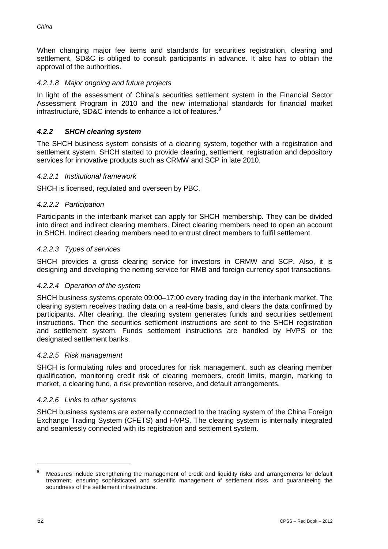When changing major fee items and standards for securities registration, clearing and settlement, SD&C is obliged to consult participants in advance. It also has to obtain the approval of the authorities.

#### *4.2.1.8 Major ongoing and future projects*

In light of the assessment of China's securities settlement system in the Financial Sector Assessment Program in 2010 and the new international standards for financial market infrastructure, SD&C intends to enhance a lot of features.<sup>9</sup>

## *4.2.2 SHCH clearing system*

The SHCH business system consists of a clearing system, together with a registration and settlement system. SHCH started to provide clearing, settlement, registration and depository services for innovative products such as CRMW and SCP in late 2010.

#### *4.2.2.1 Institutional framework*

SHCH is licensed, regulated and overseen by PBC.

#### *4.2.2.2 Participation*

Participants in the interbank market can apply for SHCH membership. They can be divided into direct and indirect clearing members. Direct clearing members need to open an account in SHCH. Indirect clearing members need to entrust direct members to fulfil settlement.

#### *4.2.2.3 Types of services*

SHCH provides a gross clearing service for investors in CRMW and SCP. Also, it is designing and developing the netting service for RMB and foreign currency spot transactions.

#### *4.2.2.4 Operation of the system*

SHCH business systems operate 09:00–17:00 every trading day in the interbank market. The clearing system receives trading data on a real-time basis, and clears the data confirmed by participants. After clearing, the clearing system generates funds and securities settlement instructions. Then the securities settlement instructions are sent to the SHCH registration and settlement system. Funds settlement instructions are handled by HVPS or the designated settlement banks.

#### *4.2.2.5 Risk management*

SHCH is formulating rules and procedures for risk management, such as clearing member qualification, monitoring credit risk of clearing members, credit limits, margin, marking to market, a clearing fund, a risk prevention reserve, and default arrangements.

#### *4.2.2.6 Links to other systems*

SHCH business systems are externally connected to the trading system of the China Foreign Exchange Trading System (CFETS) and HVPS. The clearing system is internally integrated and seamlessly connected with its registration and settlement system.

<sup>&</sup>lt;sup>9</sup> Measures include strengthening the management of credit and liquidity risks and arrangements for default treatment, ensuring sophisticated and scientific management of settlement risks, and guaranteeing the soundness of the settlement infrastructure.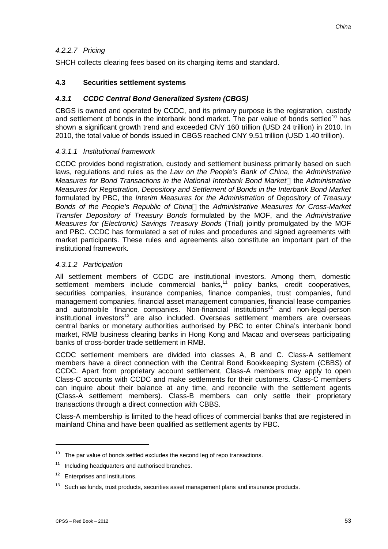## *4.2.2.7 Pricing*

SHCH collects clearing fees based on its charging items and standard.

#### **4.3 Securities settlement systems**

## *4.3.1 CCDC Central Bond Generalized System (CBGS)*

CBGS is owned and operated by CCDC, and its primary purpose is the registration, custody and settlement of bonds in the interbank bond market. The par value of bonds settled<sup>10</sup> has shown a significant growth trend and exceeded CNY 160 trillion (USD 24 trillion) in 2010. In 2010, the total value of bonds issued in CBGS reached CNY 9.51 trillion (USD 1.40 trillion).

#### *4.3.1.1 Institutional framework*

CCDC provides bond registration, custody and settlement business primarily based on such laws, regulations and rules as the *Law on the People's Bank of China*, the *Administrative Measures for Bond Transactions in the National Interbank Bond Market* the *Administrative Measures for Registration, Depository and Settlement of Bonds in the Interbank Bond Market* formulated by PBC, the *Interim Measures for the Administration of Depository of Treasury Bonds of the People's Republic of China* the *Administrative Measures for Cross-Market Transfer Depository of Treasury Bonds* formulated by the MOF, and the *Administrative Measures for (Electronic) Savings Treasury Bonds* (Trial) jointly promulgated by the MOF and PBC. CCDC has formulated a set of rules and procedures and signed agreements with market participants. These rules and agreements also constitute an important part of the institutional framework.

#### *4.3.1.2 Participation*

All settlement members of CCDC are institutional investors. Among them, domestic settlement members include commercial banks,<sup>11</sup> policy banks, credit cooperatives, securities companies, insurance companies, finance companies, trust companies, fund management companies, financial asset management companies, financial lease companies and automobile finance companies. Non-financial institutions<sup>12</sup> and non-legal-person  $institutional$  investors<sup>13</sup> are also included. Overseas settlement members are overseas central banks or monetary authorities authorised by PBC to enter China's interbank bond market, RMB business clearing banks in Hong Kong and Macao and overseas participating banks of cross-border trade settlement in RMB.

CCDC settlement members are divided into classes A, B and C. Class-A settlement members have a direct connection with the Central Bond Bookkeeping System (CBBS) of CCDC. Apart from proprietary account settlement, Class-A members may apply to open Class-C accounts with CCDC and make settlements for their customers. Class-C members can inquire about their balance at any time, and reconcile with the settlement agents (Class-A settlement members). Class-B members can only settle their proprietary transactions through a direct connection with CBBS.

Class-A membership is limited to the head offices of commercial banks that are registered in mainland China and have been qualified as settlement agents by PBC.

 $10$  The par value of bonds settled excludes the second leg of repo transactions.

 $11$  Including headquarters and authorised branches.

<sup>&</sup>lt;sup>12</sup> Enterprises and institutions.

 $13$  Such as funds, trust products, securities asset management plans and insurance products.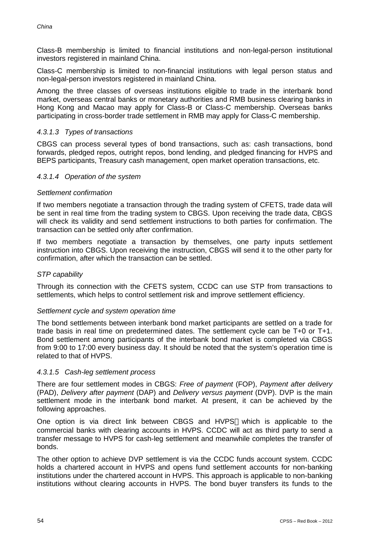Class-B membership is limited to financial institutions and non-legal-person institutional investors registered in mainland China.

Class-C membership is limited to non-financial institutions with legal person status and non-legal-person investors registered in mainland China.

Among the three classes of overseas institutions eligible to trade in the interbank bond market, overseas central banks or monetary authorities and RMB business clearing banks in Hong Kong and Macao may apply for Class-B or Class-C membership. Overseas banks participating in cross-border trade settlement in RMB may apply for Class-C membership.

#### *4.3.1.3 Types of transactions*

CBGS can process several types of bond transactions, such as: cash transactions, bond forwards, pledged repos, outright repos, bond lending, and pledged financing for HVPS and BEPS participants, Treasury cash management, open market operation transactions, etc.

#### *4.3.1.4 Operation of the system*

#### *Settlement confirmation*

If two members negotiate a transaction through the trading system of CFETS, trade data will be sent in real time from the trading system to CBGS. Upon receiving the trade data, CBGS will check its validity and send settlement instructions to both parties for confirmation. The transaction can be settled only after confirmation.

If two members negotiate a transaction by themselves, one party inputs settlement instruction into CBGS. Upon receiving the instruction, CBGS will send it to the other party for confirmation, after which the transaction can be settled.

#### *STP capability*

Through its connection with the CFETS system, CCDC can use STP from transactions to settlements, which helps to control settlement risk and improve settlement efficiency.

#### *Settlement cycle and system operation time*

The bond settlements between interbank bond market participants are settled on a trade for trade basis in real time on predetermined dates. The settlement cycle can be T+0 or T+1. Bond settlement among participants of the interbank bond market is completed via CBGS from 9:00 to 17:00 every business day. It should be noted that the system's operation time is related to that of HVPS.

#### *4.3.1.5 Cash-leg settlement process*

There are four settlement modes in CBGS: *Free of payment* (FOP), *Payment after delivery* (PAD), *Delivery after payment* (DAP) and *Delivery versus payment* (DVP). DVP is the main settlement mode in the interbank bond market. At present, it can be achieved by the following approaches.

One option is via direct link between CBGS and HVPS which is applicable to the commercial banks with clearing accounts in HVPS. CCDC will act as third party to send a transfer message to HVPS for cash-leg settlement and meanwhile completes the transfer of bonds.

The other option to achieve DVP settlement is via the CCDC funds account system. CCDC holds a chartered account in HVPS and opens fund settlement accounts for non-banking institutions under the chartered account in HVPS. This approach is applicable to non-banking institutions without clearing accounts in HVPS. The bond buyer transfers its funds to the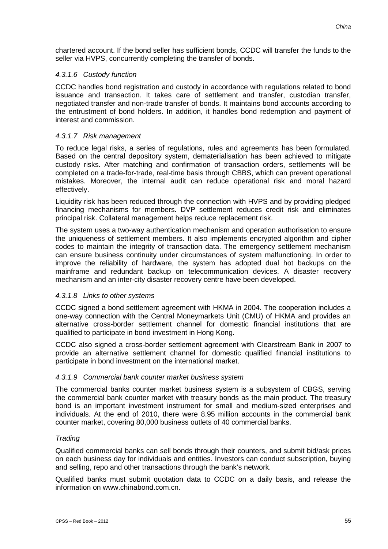chartered account. If the bond seller has sufficient bonds, CCDC will transfer the funds to the seller via HVPS, concurrently completing the transfer of bonds.

#### *4.3.1.6 Custody function*

CCDC handles bond registration and custody in accordance with regulations related to bond issuance and transaction. It takes care of settlement and transfer, custodian transfer, negotiated transfer and non-trade transfer of bonds. It maintains bond accounts according to the entrustment of bond holders. In addition, it handles bond redemption and payment of interest and commission.

#### *4.3.1.7 Risk management*

To reduce legal risks, a series of regulations, rules and agreements has been formulated. Based on the central depository system, dematerialisation has been achieved to mitigate custody risks. After matching and confirmation of transaction orders, settlements will be completed on a trade-for-trade, real-time basis through CBBS, which can prevent operational mistakes. Moreover, the internal audit can reduce operational risk and moral hazard effectively.

Liquidity risk has been reduced through the connection with HVPS and by providing pledged financing mechanisms for members. DVP settlement reduces credit risk and eliminates principal risk. Collateral management helps reduce replacement risk.

The system uses a two-way authentication mechanism and operation authorisation to ensure the uniqueness of settlement members. It also implements encrypted algorithm and cipher codes to maintain the integrity of transaction data. The emergency settlement mechanism can ensure business continuity under circumstances of system malfunctioning. In order to improve the reliability of hardware, the system has adopted dual hot backups on the mainframe and redundant backup on telecommunication devices. A disaster recovery mechanism and an inter-city disaster recovery centre have been developed.

#### *4.3.1.8 Links to other systems*

CCDC signed a bond settlement agreement with HKMA in 2004. The cooperation includes a one-way connection with the Central Moneymarkets Unit (CMU) of HKMA and provides an alternative cross-border settlement channel for domestic financial institutions that are qualified to participate in bond investment in Hong Kong.

CCDC also signed a cross-border settlement agreement with Clearstream Bank in 2007 to provide an alternative settlement channel for domestic qualified financial institutions to participate in bond investment on the international market.

#### *4.3.1.9 Commercial bank counter market business system*

The commercial banks counter market business system is a subsystem of CBGS, serving the commercial bank counter market with treasury bonds as the main product. The treasury bond is an important investment instrument for small and medium-sized enterprises and individuals. At the end of 2010, there were 8.95 million accounts in the commercial bank counter market, covering 80,000 business outlets of 40 commercial banks.

#### *Trading*

Qualified commercial banks can sell bonds through their counters, and submit bid/ask prices on each business day for individuals and entities. Investors can conduct subscription, buying and selling, repo and other transactions through the bank's network.

Qualified banks must submit quotation data to CCDC on a daily basis, and release the information on www.chinabond.com.cn.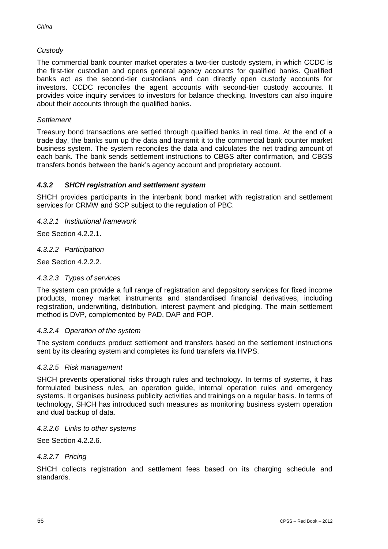## *Custody*

The commercial bank counter market operates a two-tier custody system, in which CCDC is the first-tier custodian and opens general agency accounts for qualified banks. Qualified banks act as the second-tier custodians and can directly open custody accounts for investors. CCDC reconciles the agent accounts with second-tier custody accounts. It provides voice inquiry services to investors for balance checking. Investors can also inquire about their accounts through the qualified banks.

#### *Settlement*

Treasury bond transactions are settled through qualified banks in real time. At the end of a trade day, the banks sum up the data and transmit it to the commercial bank counter market business system. The system reconciles the data and calculates the net trading amount of each bank. The bank sends settlement instructions to CBGS after confirmation, and CBGS transfers bonds between the bank's agency account and proprietary account.

#### *4.3.2 SHCH registration and settlement system*

SHCH provides participants in the interbank bond market with registration and settlement services for CRMW and SCP subject to the regulation of PBC.

*4.3.2.1 Institutional framework*

See Section 4.2.2.1.

#### *4.3.2.2 Participation*

See Section 4.2.2.2.

#### *4.3.2.3 Types of services*

The system can provide a full range of registration and depository services for fixed income products, money market instruments and standardised financial derivatives, including registration, underwriting, distribution, interest payment and pledging. The main settlement method is DVP, complemented by PAD, DAP and FOP.

#### *4.3.2.4 Operation of the system*

The system conducts product settlement and transfers based on the settlement instructions sent by its clearing system and completes its fund transfers via HVPS.

#### *4.3.2.5 Risk management*

SHCH prevents operational risks through rules and technology. In terms of systems, it has formulated business rules, an operation guide, internal operation rules and emergency systems. It organises business publicity activities and trainings on a regular basis. In terms of technology, SHCH has introduced such measures as monitoring business system operation and dual backup of data.

#### *4.3.2.6 Links to other systems*

See Section 4.2.2.6.

#### *4.3.2.7 Pricing*

SHCH collects registration and settlement fees based on its charging schedule and standards.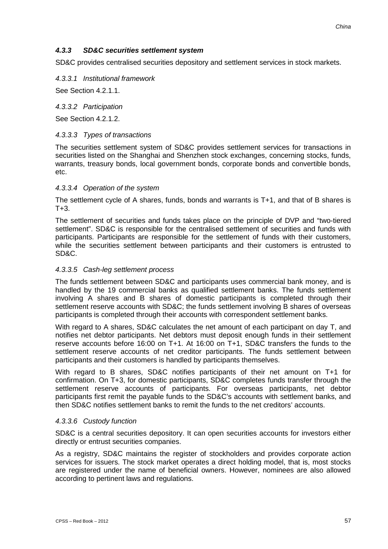#### *4.3.3 SD&C securities settlement system*

SD&C provides centralised securities depository and settlement services in stock markets.

*4.3.3.1 Institutional framework* 

See Section 4.2.1.1.

*4.3.3.2 Participation* 

See Section 4.2.1.2.

#### *4.3.3.3 Types of transactions*

The securities settlement system of SD&C provides settlement services for transactions in securities listed on the Shanghai and Shenzhen stock exchanges, concerning stocks, funds, warrants, treasury bonds, local government bonds, corporate bonds and convertible bonds, etc.

#### *4.3.3.4 Operation of the system*

The settlement cycle of A shares, funds, bonds and warrants is T+1, and that of B shares is  $T+3$ .

The settlement of securities and funds takes place on the principle of DVP and "two-tiered settlement". SD&C is responsible for the centralised settlement of securities and funds with participants. Participants are responsible for the settlement of funds with their customers, while the securities settlement between participants and their customers is entrusted to SD&C.

#### *4.3.3.5 Cash-leg settlement process*

The funds settlement between SD&C and participants uses commercial bank money, and is handled by the 19 commercial banks as qualified settlement banks. The funds settlement involving A shares and B shares of domestic participants is completed through their settlement reserve accounts with SD&C; the funds settlement involving B shares of overseas participants is completed through their accounts with correspondent settlement banks.

With regard to A shares, SD&C calculates the net amount of each participant on day T, and notifies net debtor participants. Net debtors must deposit enough funds in their settlement reserve accounts before 16:00 on T+1. At 16:00 on T+1, SD&C transfers the funds to the settlement reserve accounts of net creditor participants. The funds settlement between participants and their customers is handled by participants themselves.

With regard to B shares, SD&C notifies participants of their net amount on T+1 for confirmation. On T+3, for domestic participants, SD&C completes funds transfer through the settlement reserve accounts of participants. For overseas participants, net debtor participants first remit the payable funds to the SD&C's accounts with settlement banks, and then SD&C notifies settlement banks to remit the funds to the net creditors' accounts.

#### *4.3.3.6 Custody function*

SD&C is a central securities depository. It can open securities accounts for investors either directly or entrust securities companies.

As a registry, SD&C maintains the register of stockholders and provides corporate action services for issuers. The stock market operates a direct holding model, that is, most stocks are registered under the name of beneficial owners. However, nominees are also allowed according to pertinent laws and regulations.